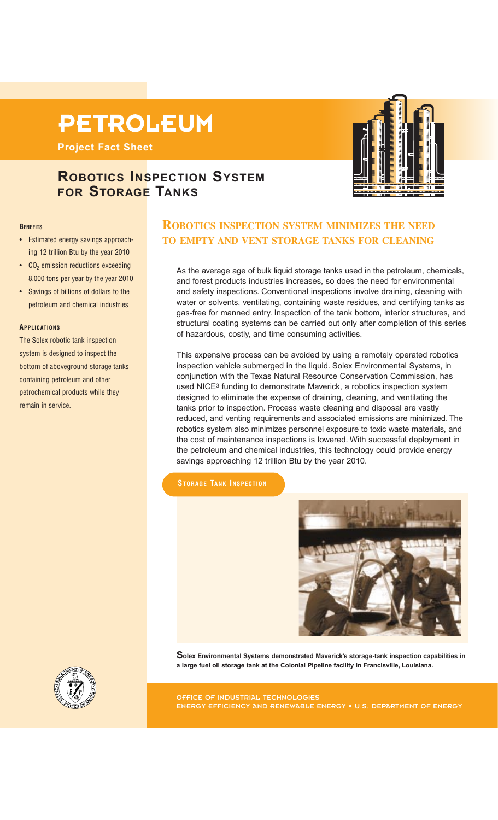# **PETROLEUM**

**Project Fact Sheet**

# **ROBOTICS INSPECTION SYSTEM FOR STORAGE TANKS**

#### **BENEFITS**

- Estimated energy savings approaching 12 trillion Btu by the year 2010
- $\cdot$  CO<sub>2</sub> emission reductions exceeding 8,000 tons per year by the year 2010
- Savings of billions of dollars to the petroleum and chemical industries

#### **APPLICATIONS**

The Solex robotic tank inspection system is designed to inspect the bottom of aboveground storage tanks containing petroleum and other petrochemical products while they remain in service.

## **ROBOTICS INSPECTION SYSTEM MINIMIZES THE NEED TO EMPTY AND VENT STORAGE TANKS FOR CLEANING**

As the average age of bulk liquid storage tanks used in the petroleum, chemicals, and forest products industries increases, so does the need for environmental and safety inspections. Conventional inspections involve draining, cleaning with water or solvents, ventilating, containing waste residues, and certifying tanks as gas-free for manned entry. Inspection of the tank bottom, interior structures, and structural coating systems can be carried out only after completion of this series of hazardous, costly, and time consuming activities.

This expensive process can be avoided by using a remotely operated robotics inspection vehicle submerged in the liquid. Solex Environmental Systems, in conjunction with the Texas Natural Resource Conservation Commission, has used NICE3 funding to demonstrate Maverick, a robotics inspection system designed to eliminate the expense of draining, cleaning, and ventilating the tanks prior to inspection. Process waste cleaning and disposal are vastly reduced, and venting requirements and associated emissions are minimized. The robotics system also minimizes personnel exposure to toxic waste materials, and the cost of maintenance inspections is lowered. With successful deployment in the petroleum and chemical industries, this technology could provide energy savings approaching 12 trillion Btu by the year 2010.

#### **STORAGE TANK INSPECTION**



**Solex Environmental Systems demonstrated Maverick's storage-tank inspection capabilities in a large fuel oil storage tank at the Colonial Pipeline facility in Francisville, Louisiana.**